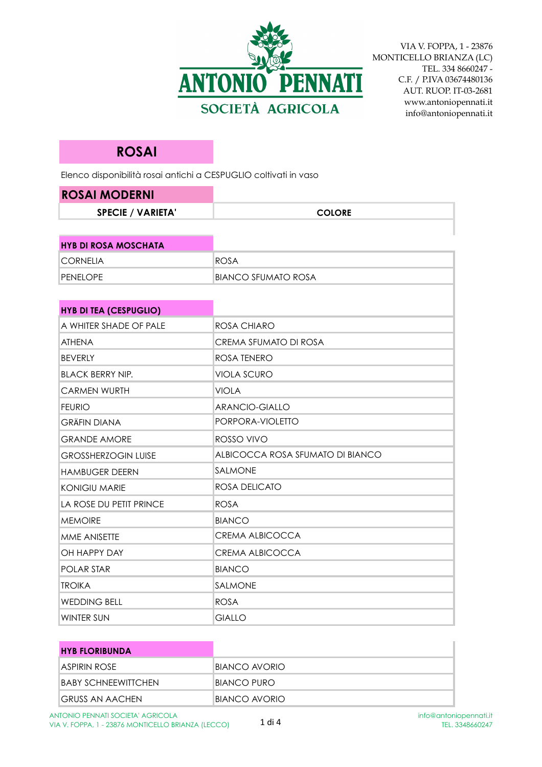

## **ROSAI**

Elenco disponibilità rosai antichi a CESPUGLIO coltivati in vaso

| <b>ROSAI MODERNI</b>          |                                  |
|-------------------------------|----------------------------------|
| <b>SPECIE / VARIETA'</b>      | <b>COLORE</b>                    |
|                               |                                  |
| <b>HYB DI ROSA MOSCHATA</b>   |                                  |
| <b>CORNELIA</b>               | <b>ROSA</b>                      |
| <b>PENELOPE</b>               | <b>BIANCO SFUMATO ROSA</b>       |
|                               |                                  |
| <b>HYB DI TEA (CESPUGLIO)</b> |                                  |
| A WHITER SHADE OF PALE        | ROSA CHIARO                      |
| <b>ATHENA</b>                 | CREMA SFUMATO DI ROSA            |
| <b>BEVERLY</b>                | <b>ROSA TENERO</b>               |
| <b>BLACK BERRY NIP.</b>       | <b>VIOLA SCURO</b>               |
| <b>CARMEN WURTH</b>           | VIOLA                            |
| <b>FEURIO</b>                 | <b>ARANCIO-GIALLO</b>            |
| <b>GRÄFIN DIANA</b>           | PORPORA-VIOLETTO                 |
| <b>GRANDE AMORE</b>           | ROSSO VIVO                       |
| <b>GROSSHERZOGIN LUISE</b>    | ALBICOCCA ROSA SFUMATO DI BIANCO |
| <b>HAMBUGER DEERN</b>         | SALMONE                          |
| <b>KONIGIU MARIE</b>          | ROSA DELICATO                    |
| LA ROSE DU PETIT PRINCE       | <b>ROSA</b>                      |
| <b>MEMOIRE</b>                | BIANCO                           |
| MME ANISETTE                  | <b>CREMA ALBICOCCA</b>           |
| OH HAPPY DAY                  | CREMA ALBICOCCA                  |
| <b>POLAR STAR</b>             | <b>BIANCO</b>                    |
| <b>TROIKA</b>                 | SALMONE                          |
| <b>WEDDING BELL</b>           | ROSA                             |
| <b>WINTER SUN</b>             | GIALLO                           |

| <b>HYB FLORIBUNDA</b> |               |
|-----------------------|---------------|
| ASPIRIN ROSE          | BIANCO AVORIO |
| BABY SCHNEEWITTCHEN   | BIANCO PURO   |
| IGRUSS AN AACHEN      | BIANCO AVORIO |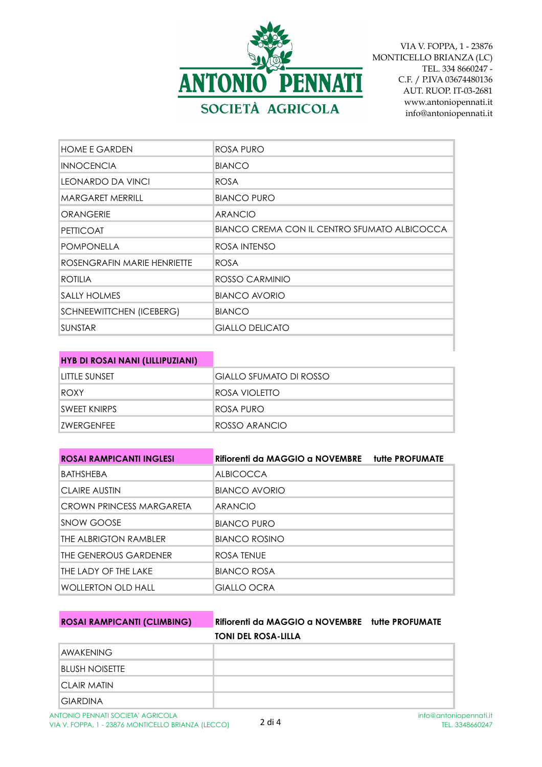

| <b>HOME E GARDEN</b>            | ROSA PURO                                    |
|---------------------------------|----------------------------------------------|
| <b>INNOCENCIA</b>               | <b>BIANCO</b>                                |
| <b>LEONARDO DA VINCI</b>        | <b>ROSA</b>                                  |
| <b>MARGARET MERRILL</b>         | <b>BIANCO PURO</b>                           |
| <b>ORANGERIE</b>                | <b>ARANCIO</b>                               |
| <b>PETTICOAT</b>                | BIANCO CREMA CON IL CENTRO SFUMATO ALBICOCCA |
| <b>POMPONELLA</b>               | ROSA INTENSO                                 |
| ROSENGRAFIN MARIE HENRIETTE     | <b>ROSA</b>                                  |
| <b>ROTILIA</b>                  | ROSSO CARMINIO                               |
| SALLY HOLMES                    | BIANCO AVORIO                                |
| <b>SCHNEEWITTCHEN (ICEBERG)</b> | <b>BIANCO</b>                                |
| <b>SUNSTAR</b>                  | <b>GIALLO DELICATO</b>                       |

| <b>HYB DI ROSAI NANI (LILLIPUZIANI)</b> |  |
|-----------------------------------------|--|
|                                         |  |

| <b>ILITTLE SUNSET</b> | <b>GIALLO SFUMATO DI ROSSO</b> |
|-----------------------|--------------------------------|
| <b>IROXY</b>          | IROSA VIOLETTO                 |
| <b>SWEET KNIRPS</b>   | IROSA PURO.                    |
| <b>IZWERGENFEE</b>    | ROSSO ARANCIO                  |

| <b>ROSAI RAMPICANTI INGLESI</b> | Rifiorenti da MAGGIO a NOVEMBRE tutte PROFUMATE |  |
|---------------------------------|-------------------------------------------------|--|
| BATHSHEBA                       | <b>ALBICOCCA</b>                                |  |
| ICLAIRE AUSTIN                  | BIANCO AVORIO                                   |  |
| CROWN PRINCESS MARGARETA        | <b>ARANCIO</b>                                  |  |
| <b>ISNOW GOOSE</b>              | <b>BIANCO PURO</b>                              |  |
| THE ALBRIGTON RAMBLER           | <b>BIANCO ROSINO</b>                            |  |
| THE GENEROUS GARDENER           | ROSA TENUE                                      |  |
| THE LADY OF THE LAKE            | <b>BIANCO ROSA</b>                              |  |
| WOLLERTON OLD HALL              | GIALLO OCRA                                     |  |

## **ROSAI RAMPICANTI (CLIMBING) Rifiorenti da MAGGIO a NOVEMBRE tutte PROFUMATE TONI DEL ROSA-LILLA**

| <b>AWAKENING</b>      |  |
|-----------------------|--|
| <b>BLUSH NOISETTE</b> |  |
| <b>CLAIR MATIN</b>    |  |
| <b>GIARDINA</b>       |  |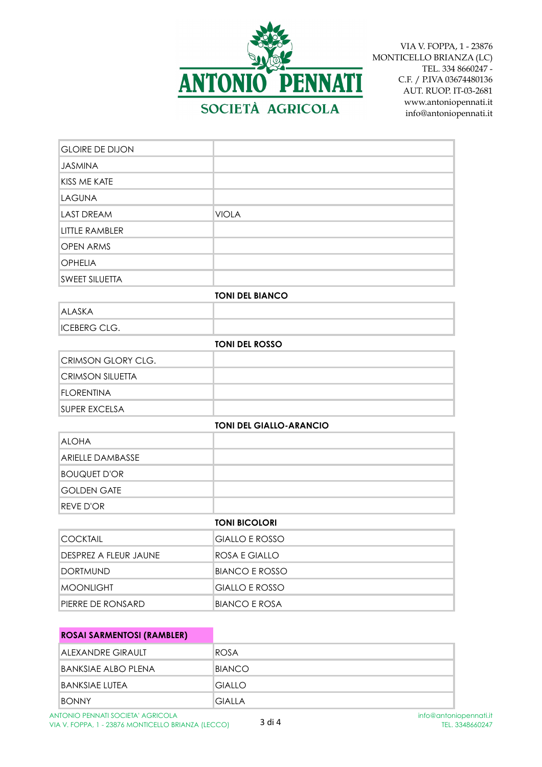

| <b>GLOIRE DE DIJON</b>    |                                |  |
|---------------------------|--------------------------------|--|
| <b>JASMINA</b>            |                                |  |
| KISS ME KATE              |                                |  |
| <b>LAGUNA</b>             |                                |  |
| <b>LAST DREAM</b>         | <b>VIOLA</b>                   |  |
| <b>LITTLE RAMBLER</b>     |                                |  |
| <b>OPEN ARMS</b>          |                                |  |
| <b>OPHELIA</b>            |                                |  |
| <b>SWEET SILUETTA</b>     |                                |  |
|                           | <b>TONI DEL BIANCO</b>         |  |
| <b>ALASKA</b>             |                                |  |
| <b>ICEBERG CLG.</b>       |                                |  |
| <b>TONI DEL ROSSO</b>     |                                |  |
| <b>CRIMSON GLORY CLG.</b> |                                |  |
| <b>CRIMSON SILUETTA</b>   |                                |  |
| <b>FLORENTINA</b>         |                                |  |
| <b>SUPER EXCELSA</b>      |                                |  |
|                           | <b>TONI DEL GIALLO-ARANCIO</b> |  |
| <b>ALOHA</b>              |                                |  |
| <b>ARIELLE DAMBASSE</b>   |                                |  |
| <b>BOUQUET D'OR</b>       |                                |  |
| <b>GOLDEN GATE</b>        |                                |  |
| <b>REVE D'OR</b>          |                                |  |
|                           | <b>TONI BICOLORI</b>           |  |
| <b>COCKTAIL</b>           | <b>GIALLO E ROSSO</b>          |  |
| DESPREZ A FLEUR JAUNE     | ROSA E GIALLO                  |  |
| <b>DORTMUND</b>           | <b>BIANCO E ROSSO</b>          |  |
| <b>MOONLIGHT</b>          | <b>GIALLO E ROSSO</b>          |  |
| PIERRE DE RONSARD         | <b>BIANCO E ROSA</b>           |  |

| <b>ROSAI SARMENTOSI (RAMBLER)</b> |               |
|-----------------------------------|---------------|
| ALEXANDRE GIRAULT                 | ROSA          |
| BANKSIAE ALBO PLENA               | BIANCO        |
| BANKSIAE LUTEA                    | <b>GIALLO</b> |
| <b>BONNY</b>                      | <b>GIALLA</b> |